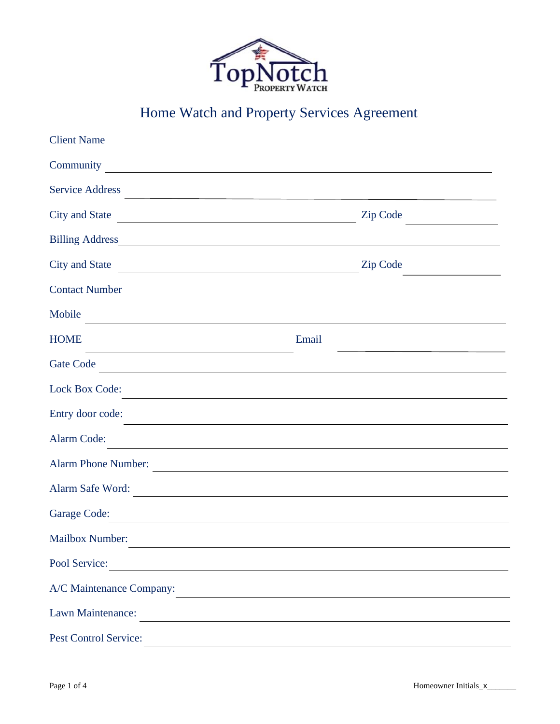

## Home Watch and Property Services Agreement

| <b>Client Name</b>                                                                                                                            |                                                                                                                                                                                                                               |                                              |
|-----------------------------------------------------------------------------------------------------------------------------------------------|-------------------------------------------------------------------------------------------------------------------------------------------------------------------------------------------------------------------------------|----------------------------------------------|
| Community <u>community</u>                                                                                                                    |                                                                                                                                                                                                                               |                                              |
| <b>Service Address</b>                                                                                                                        |                                                                                                                                                                                                                               |                                              |
| <b>City and State</b>                                                                                                                         | <b>Zip Code</b>                                                                                                                                                                                                               | the control of the control of the control of |
|                                                                                                                                               |                                                                                                                                                                                                                               |                                              |
| <b>City and State</b><br><u> 1980 - Johann Barn, mars ann an t-Amhain Aonaich an t-Aonaich an t-Aonaich ann an t-Aonaich ann an t-Aonaich</u> | <b>Zip Code</b>                                                                                                                                                                                                               |                                              |
| <b>Contact Number</b>                                                                                                                         |                                                                                                                                                                                                                               |                                              |
| Mobile                                                                                                                                        |                                                                                                                                                                                                                               |                                              |
| <b>HOME</b>                                                                                                                                   | Email                                                                                                                                                                                                                         |                                              |
| Gate Code<br><u> 1989 - Johann Barn, mars ann an t-Amhain Aonaich an t-Aonaich an t-Aonaich ann an t-Aonaich ann an t-Aonaich</u>             |                                                                                                                                                                                                                               |                                              |
| <b>Lock Box Code:</b>                                                                                                                         |                                                                                                                                                                                                                               |                                              |
| Entry door code:                                                                                                                              | the control of the control of the control of the control of the control of the control of the control of the control of the control of the control of the control of the control of the control of the control of the control |                                              |
| Alarm Code:                                                                                                                                   | <u> 1980 - Johann Barbara, martxa alemaniar argumento estas alemaniar alemaniar alemaniar alemaniar alemaniar a</u>                                                                                                           |                                              |
| <b>Alarm Phone Number:</b>                                                                                                                    |                                                                                                                                                                                                                               |                                              |
| Alarm Safe Word:                                                                                                                              | <u> 1980 - Andrea Andrew Maria (h. 1980).</u>                                                                                                                                                                                 |                                              |
| Garage Code:<br><u> 1980 - Jan Salaman, mangang mga kalendar ng mga kalendar ng mga kalendar ng mga kalendar ng mga kalendar</u>              |                                                                                                                                                                                                                               |                                              |
| <b>Mailbox Number:</b>                                                                                                                        |                                                                                                                                                                                                                               |                                              |
| Pool Service:                                                                                                                                 |                                                                                                                                                                                                                               |                                              |
| A/C Maintenance Company:                                                                                                                      | <u> 1980 - Andrea Barbara, poeta esperanto-poeta esperanto-poeta esperanto-poeta esperanto-poeta esperanto-poeta</u>                                                                                                          |                                              |
| Lawn Maintenance:                                                                                                                             | <u> 1989 - Johann Barn, fransk politik (d. 1989)</u>                                                                                                                                                                          |                                              |
| Pest Control Service:                                                                                                                         |                                                                                                                                                                                                                               |                                              |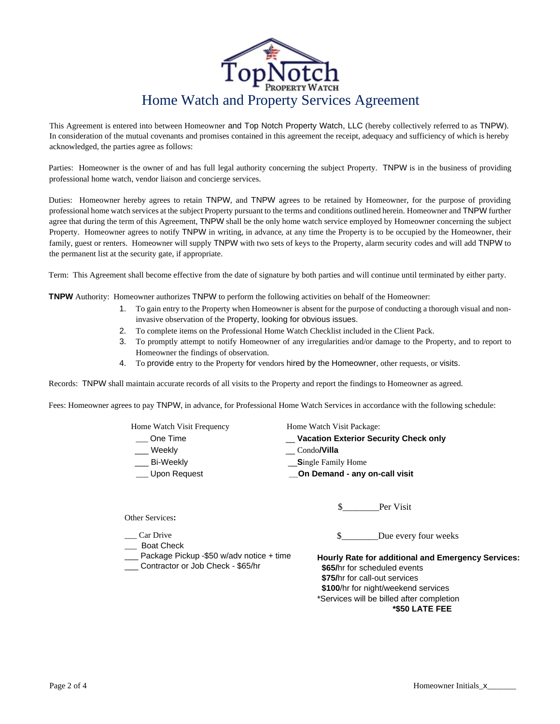

This Agreement is entered into between Homeowner and Top Notch Property Watch, LLC (hereby collectively referred to as TNPW). In consideration of the mutual covenants and promises contained in this agreement the receipt, adequacy and sufficiency of which is hereby acknowledged, the parties agree as follows:

Parties: Homeowner is the owner of and has full legal authority concerning the subject Property. TNPW is in the business of providing professional home watch, vendor liaison and concierge services.

Duties: Homeowner hereby agrees to retain TNPW, and TNPW agrees to be retained by Homeowner, for the purpose of providing professional home watch services at the subject Property pursuant to the terms and conditions outlined herein. Homeowner and TNPW further agree that during the term of this Agreement, TNPW shall be the only home watch service employed by Homeowner concerning the subject Property. Homeowner agrees to notify TNPW in writing, in advance, at any time the Property is to be occupied by the Homeowner, their family, guest or renters. Homeowner will supply TNPW with two sets of keys to the Property, alarm security codes and will add TNPW to the permanent list at the security gate, if appropriate.

Term: This Agreement shall become effective from the date of signature by both parties and will continue until terminated by either party.

**TNPW** Authority: Homeowner authorizes TNPW to perform the following activities on behalf of the Homeowner:

- 1. To gain entry to the Property when Homeowner is absent for the purpose of conducting a thorough visual and noninvasive observation of the Property, looking for obvious issues.
- 2. To complete items on the Professional Home Watch Checklist included in the Client Pack.
- 3. To promptly attempt to notify Homeowner of any irregularities and/or damage to the Property, and to report to Homeowner the findings of observation.
- 4. To provide entry to the Property for vendors hired by the Homeowner, other requests, or visits.

Records: TNPW shall maintain accurate records of all visits to the Property and report the findings to Homeowner as agreed.

Fees: Homeowner agrees to pay TNPW, in advance, for Professional Home Watch Services in accordance with the following schedule:

| Home Watch Visit Frequency                                                    | Home Watch Visit Package:                                                                                                                                                                                                        |  |
|-------------------------------------------------------------------------------|----------------------------------------------------------------------------------------------------------------------------------------------------------------------------------------------------------------------------------|--|
| One Time                                                                      | _ Vacation Exterior Security Check only                                                                                                                                                                                          |  |
| Weekly                                                                        | Condo <b>/Villa</b>                                                                                                                                                                                                              |  |
| Bi-Weekly                                                                     | <b>Single Family Home</b>                                                                                                                                                                                                        |  |
| Upon Request                                                                  | On Demand - any on-call visit                                                                                                                                                                                                    |  |
|                                                                               | Per Visit<br>S.                                                                                                                                                                                                                  |  |
| Other Services:                                                               |                                                                                                                                                                                                                                  |  |
| Car Drive<br><b>Boat Check</b>                                                | \$.<br>Due every four weeks                                                                                                                                                                                                      |  |
| Package Pickup -\$50 w/adv notice + time<br>Contractor or Job Check - \$65/hr | <b>Hourly Rate for additional and Emergency Services:</b><br>\$65/hr for scheduled events<br>\$75/hr for call-out services<br>\$100/hr for night/weekend services<br>*Services will be billed after completion<br>*\$50 LATE FEE |  |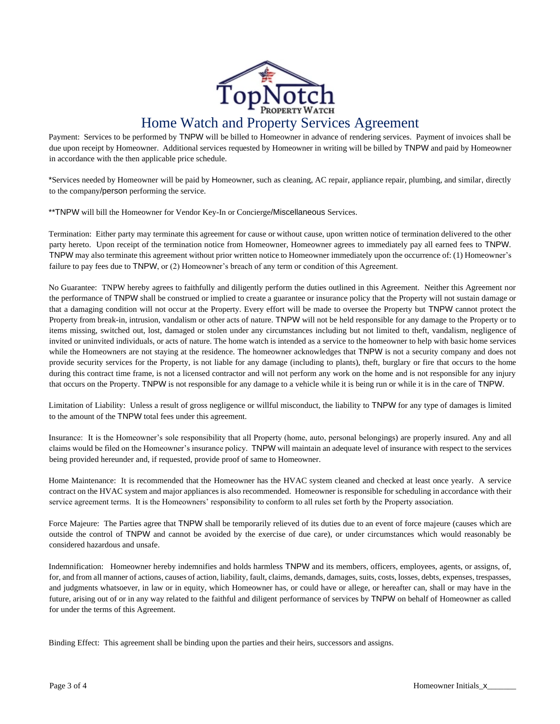

Payment: Services to be performed by TNPW will be billed to Homeowner in advance of rendering services. Payment of invoices shall be due upon receipt by Homeowner. Additional services requested by Homeowner in writing will be billed by TNPW and paid by Homeowner in accordance with the then applicable price schedule.

\*Services needed by Homeowner will be paid by Homeowner, such as cleaning, AC repair, appliance repair, plumbing, and similar, directly to the company/person performing the service.

\*\*TNPW will bill the Homeowner for Vendor Key-In or Concierge/Miscellaneous Services.

Termination: Either party may terminate this agreement for cause or without cause, upon written notice of termination delivered to the other party hereto. Upon receipt of the termination notice from Homeowner, Homeowner agrees to immediately pay all earned fees to TNPW. TNPW may also terminate this agreement without prior written notice to Homeowner immediately upon the occurrence of: (1) Homeowner's failure to pay fees due to TNPW, or (2) Homeowner's breach of any term or condition of this Agreement.

No Guarantee: TNPW hereby agrees to faithfully and diligently perform the duties outlined in this Agreement. Neither this Agreement nor the performance of TNPW shall be construed or implied to create a guarantee or insurance policy that the Property will not sustain damage or that a damaging condition will not occur at the Property. Every effort will be made to oversee the Property but TNPW cannot protect the Property from break-in, intrusion, vandalism or other acts of nature. TNPW will not be held responsible for any damage to the Property or to items missing, switched out, lost, damaged or stolen under any circumstances including but not limited to theft, vandalism, negligence of invited or uninvited individuals, or acts of nature. The home watch is intended as a service to the homeowner to help with basic home services while the Homeowners are not staying at the residence. The homeowner acknowledges that TNPW is not a security company and does not provide security services for the Property, is not liable for any damage (including to plants), theft, burglary or fire that occurs to the home during this contract time frame, is not a licensed contractor and will not perform any work on the home and is not responsible for any injury that occurs on the Property. TNPW is not responsible for any damage to a vehicle while it is being run or while it is in the care of TNPW.

Limitation of Liability: Unless a result of gross negligence or willful misconduct, the liability to TNPW for any type of damages is limited to the amount of the TNPW total fees under this agreement.

Insurance: It is the Homeowner's sole responsibility that all Property (home, auto, personal belongings) are properly insured. Any and all claims would be filed on the Homeowner's insurance policy. TNPW will maintain an adequate level of insurance with respect to the services being provided hereunder and, if requested, provide proof of same to Homeowner.

Home Maintenance: It is recommended that the Homeowner has the HVAC system cleaned and checked at least once yearly. A service contract on the HVAC system and major appliances is also recommended. Homeowner is responsible for scheduling in accordance with their service agreement terms. It is the Homeowners' responsibility to conform to all rules set forth by the Property association.

Force Majeure: The Parties agree that TNPW shall be temporarily relieved of its duties due to an event of force majeure (causes which are outside the control of TNPW and cannot be avoided by the exercise of due care), or under circumstances which would reasonably be considered hazardous and unsafe.

Indemnification: Homeowner hereby indemnifies and holds harmless TNPW and its members, officers, employees, agents, or assigns, of, for, and from all manner of actions, causes of action, liability, fault, claims, demands, damages, suits, costs, losses, debts, expenses, trespasses, and judgments whatsoever, in law or in equity, which Homeowner has, or could have or allege, or hereafter can, shall or may have in the future, arising out of or in any way related to the faithful and diligent performance of services by TNPW on behalf of Homeowner as called for under the terms of this Agreement.

Binding Effect: This agreement shall be binding upon the parties and their heirs, successors and assigns.